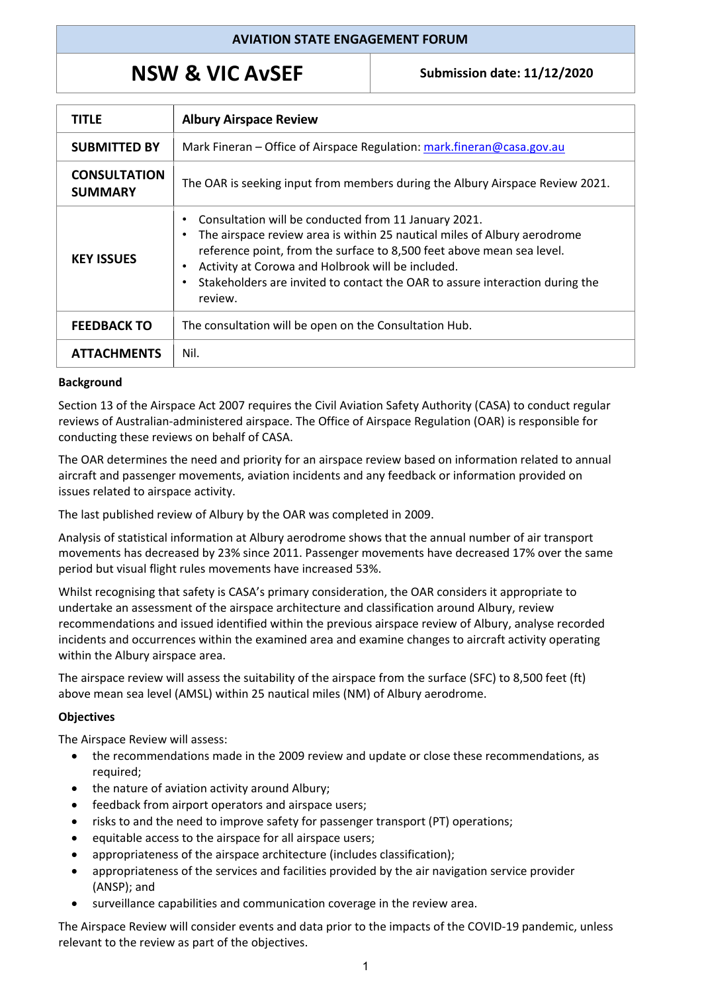## **AVIATION STATE ENGAGEMENT FORUM**

# **NSW & VIC AvSEF** Submission date: 11/12/2020

| TITLE                                 | <b>Albury Airspace Review</b>                                                                                                                                                                                                                                                                                                                                                                         |
|---------------------------------------|-------------------------------------------------------------------------------------------------------------------------------------------------------------------------------------------------------------------------------------------------------------------------------------------------------------------------------------------------------------------------------------------------------|
| <b>SUBMITTED BY</b>                   | Mark Fineran – Office of Airspace Regulation: mark.fineran@casa.gov.au                                                                                                                                                                                                                                                                                                                                |
| <b>CONSULTATION</b><br><b>SUMMARY</b> | The OAR is seeking input from members during the Albury Airspace Review 2021.                                                                                                                                                                                                                                                                                                                         |
| <b>KEY ISSUES</b>                     | Consultation will be conducted from 11 January 2021.<br>٠<br>The airspace review area is within 25 nautical miles of Albury aerodrome<br>$\bullet$<br>reference point, from the surface to 8,500 feet above mean sea level.<br>Activity at Corowa and Holbrook will be included.<br>$\bullet$<br>Stakeholders are invited to contact the OAR to assure interaction during the<br>$\bullet$<br>review. |
| <b>FEEDBACK TO</b>                    | The consultation will be open on the Consultation Hub.                                                                                                                                                                                                                                                                                                                                                |
| <b>ATTACHMENTS</b>                    | Nil.                                                                                                                                                                                                                                                                                                                                                                                                  |

#### **Background**

Section 13 of the Airspace Act 2007 requires the Civil Aviation Safety Authority (CASA) to conduct regular reviews of Australian-administered airspace. The Office of Airspace Regulation (OAR) is responsible for conducting these reviews on behalf of CASA.

The OAR determines the need and priority for an airspace review based on information related to annual aircraft and passenger movements, aviation incidents and any feedback or information provided on issues related to airspace activity.

The last published review of Albury by the OAR was completed in 2009.

Analysis of statistical information at Albury aerodrome shows that the annual number of air transport movements has decreased by 23% since 2011. Passenger movements have decreased 17% over the same period but visual flight rules movements have increased 53%.

Whilst recognising that safety is CASA's primary consideration, the OAR considers it appropriate to undertake an assessment of the airspace architecture and classification around Albury, review recommendations and issued identified within the previous airspace review of Albury, analyse recorded incidents and occurrences within the examined area and examine changes to aircraft activity operating within the Albury airspace area.

The airspace review will assess the suitability of the airspace from the surface (SFC) to 8,500 feet (ft) above mean sea level (AMSL) within 25 nautical miles (NM) of Albury aerodrome.

### **Objectives**

The Airspace Review will assess:

- the recommendations made in the 2009 review and update or close these recommendations, as required;
- the nature of aviation activity around Albury;
- feedback from airport operators and airspace users;
- risks to and the need to improve safety for passenger transport (PT) operations;
- equitable access to the airspace for all airspace users;
- appropriateness of the airspace architecture (includes classification);
- appropriateness of the services and facilities provided by the air navigation service provider (ANSP); and
- surveillance capabilities and communication coverage in the review area.

The Airspace Review will consider events and data prior to the impacts of the COVID-19 pandemic, unless relevant to the review as part of the objectives.